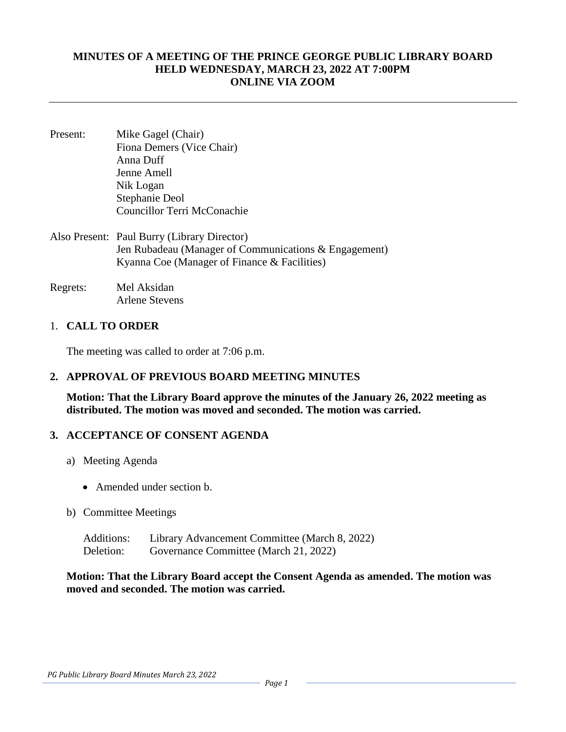#### **MINUTES OF A MEETING OF THE PRINCE GEORGE PUBLIC LIBRARY BOARD HELD WEDNESDAY, MARCH 23, 2022 AT 7:00PM ONLINE VIA ZOOM**

- Present: Mike Gagel (Chair) Fiona Demers (Vice Chair) Anna Duff Jenne Amell Nik Logan Stephanie Deol Councillor Terri McConachie
- Also Present: Paul Burry (Library Director) Jen Rubadeau (Manager of Communications & Engagement) Kyanna Coe (Manager of Finance & Facilities)
- Regrets: Mel Aksidan Arlene Stevens

### 1. **CALL TO ORDER**

The meeting was called to order at 7:06 p.m.

### **2. APPROVAL OF PREVIOUS BOARD MEETING MINUTES**

**Motion: That the Library Board approve the minutes of the January 26, 2022 meeting as distributed. The motion was moved and seconded. The motion was carried.** 

### **3. ACCEPTANCE OF CONSENT AGENDA**

- a) Meeting Agenda
	- Amended under section b.
- b) Committee Meetings
	- Additions: Library Advancement Committee (March 8, 2022) Deletion: Governance Committee (March 21, 2022)

**Motion: That the Library Board accept the Consent Agenda as amended. The motion was moved and seconded. The motion was carried.**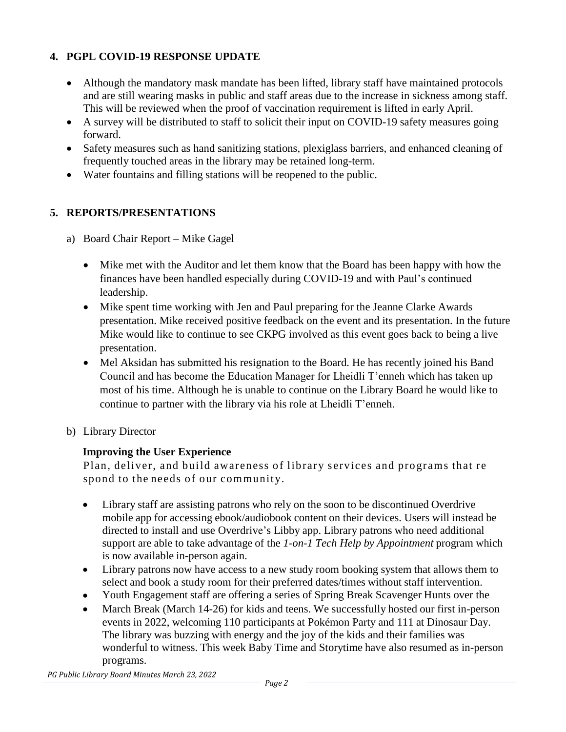## **4. PGPL COVID-19 RESPONSE UPDATE**

- Although the mandatory mask mandate has been lifted, library staff have maintained protocols and are still wearing masks in public and staff areas due to the increase in sickness among staff. This will be reviewed when the proof of vaccination requirement is lifted in early April.
- A survey will be distributed to staff to solicit their input on COVID-19 safety measures going forward.
- Safety measures such as hand sanitizing stations, plexiglass barriers, and enhanced cleaning of frequently touched areas in the library may be retained long-term.
- Water fountains and filling stations will be reopened to the public.

## **5. REPORTS/PRESENTATIONS**

- a) Board Chair Report Mike Gagel
	- Mike met with the Auditor and let them know that the Board has been happy with how the finances have been handled especially during COVID-19 and with Paul's continued leadership.
	- Mike spent time working with Jen and Paul preparing for the Jeanne Clarke Awards presentation. Mike received positive feedback on the event and its presentation. In the future Mike would like to continue to see CKPG involved as this event goes back to being a live presentation.
	- Mel Aksidan has submitted his resignation to the Board. He has recently joined his Band Council and has become the Education Manager for Lheidli T'enneh which has taken up most of his time. Although he is unable to continue on the Library Board he would like to continue to partner with the library via his role at Lheidli T'enneh.
- b) Library Director

## **Improving the User Experience**

Plan, deliver, and build awareness of library services and programs that re spond to the needs of our community.

- Library staff are assisting patrons who rely on the soon to be discontinued Overdrive mobile app for accessing ebook/audiobook content on their devices. Users will instead be directed to install and use Overdrive's Libby app. Library patrons who need additional support are able to take advantage of the *1-on-1 Tech Help by Appointment* program which is now available in-person again.
- Library patrons now have access to a new study room booking system that allows them to select and book a study room for their preferred dates/times without staff intervention.
- Youth Engagement staff are offering a series of Spring Break Scavenger Hunts over the
- March Break (March 14-26) for kids and teens. We successfully hosted our first in-person events in 2022, welcoming 110 participants at Pokémon Party and 111 at Dinosaur Day. The library was buzzing with energy and the joy of the kids and their families was wonderful to witness. This week Baby Time and Storytime have also resumed as in-person programs.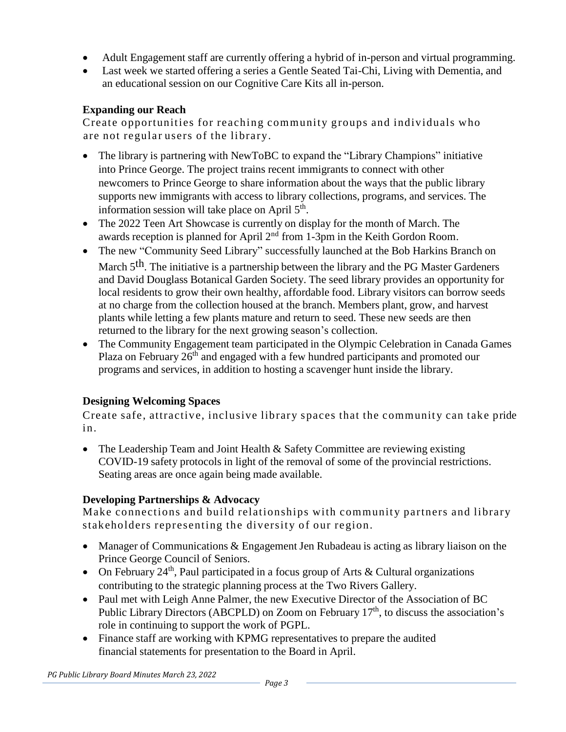- Adult Engagement staff are currently offering a hybrid of in-person and virtual programming.
- Last week we started offering a series a Gentle Seated Tai-Chi, Living with Dementia, and an educational session on our Cognitive Care Kits all in-person.

## **Expanding our Reach**

Create opportunities for reaching community groups and individuals who are not regular users of the library.

- The library is partnering with NewToBC to expand the "Library Champions" initiative into Prince George. The project trains recent immigrants to connect with other newcomers to Prince George to share information about the ways that the public library supports new immigrants with access to library collections, programs, and services. The information session will take place on April 5<sup>th</sup>.
- The 2022 Teen Art Showcase is currently on display for the month of March. The awards reception is planned for April  $2<sup>nd</sup>$  from 1-3pm in the Keith Gordon Room.
- The new "Community Seed Library" successfully launched at the Bob Harkins Branch on March 5<sup>th</sup>. The initiative is a partnership between the library and the PG Master Gardeners and David Douglass Botanical Garden Society. The seed library provides an opportunity for local residents to grow their own healthy, affordable food. Library visitors can borrow seeds at no charge from the collection housed at the branch. Members plant, grow, and harvest plants while letting a few plants mature and return to seed. These new seeds are then returned to the library for the next growing season's collection.
- The Community Engagement team participated in the Olympic Celebration in Canada Games Plaza on February 26<sup>th</sup> and engaged with a few hundred participants and promoted our programs and services, in addition to hosting a scavenger hunt inside the library.

# **Designing Welcoming Spaces**

Create safe, attractive, inclusive library spaces that the community can take pride in.

• The Leadership Team and Joint Health & Safety Committee are reviewing existing COVID-19 safety protocols in light of the removal of some of the provincial restrictions. Seating areas are once again being made available.

# **Developing Partnerships & Advocacy**

Make connections and build relationships with community partners and library stakeholders representing the diversity of our region.

- Manager of Communications & Engagement Jen Rubadeau is acting as library liaison on the Prince George Council of Seniors.
- On February 24<sup>th</sup>, Paul participated in a focus group of Arts & Cultural organizations contributing to the strategic planning process at the Two Rivers Gallery.
- Paul met with Leigh Anne Palmer, the new Executive Director of the Association of BC Public Library Directors (ABCPLD) on Zoom on February 17<sup>th</sup>, to discuss the association's role in continuing to support the work of PGPL.
- Finance staff are working with KPMG representatives to prepare the audited financial statements for presentation to the Board in April.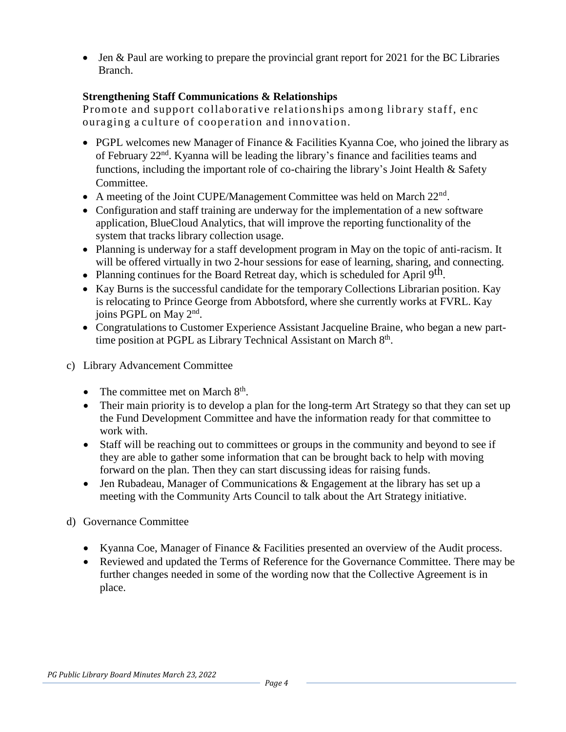• Jen & Paul are working to prepare the provincial grant report for 2021 for the BC Libraries Branch.

## **Strengthening Staff Communications & Relationships**

Promote and support collaborative relationships among library staff, enc ouraging a culture of cooperation and innovation.

- PGPL welcomes new Manager of Finance & Facilities Kyanna Coe, who joined the library as of February 22<sup>nd</sup>. Kyanna will be leading the library's finance and facilities teams and functions, including the important role of co-chairing the library's Joint Health & Safety Committee.
- A meeting of the Joint CUPE/Management Committee was held on March  $22<sup>nd</sup>$ .
- Configuration and staff training are underway for the implementation of a new software application, BlueCloud Analytics, that will improve the reporting functionality of the system that tracks library collection usage.
- Planning is underway for a staff development program in May on the topic of anti-racism. It will be offered virtually in two 2-hour sessions for ease of learning, sharing, and connecting.
- Planning continues for the Board Retreat day, which is scheduled for April 9<sup>th</sup>.
- Kay Burns is the successful candidate for the temporary Collections Librarian position. Kay is relocating to Prince George from Abbotsford, where she currently works at FVRL. Kay joins PGPL on May 2<sup>nd</sup>.
- Congratulations to Customer Experience Assistant Jacqueline Braine, who began a new parttime position at PGPL as Library Technical Assistant on March 8th.
- c) Library Advancement Committee
	- The committee met on March  $8<sup>th</sup>$ .
	- Their main priority is to develop a plan for the long-term Art Strategy so that they can set up the Fund Development Committee and have the information ready for that committee to work with.
	- Staff will be reaching out to committees or groups in the community and beyond to see if they are able to gather some information that can be brought back to help with moving forward on the plan. Then they can start discussing ideas for raising funds.
	- Jen Rubadeau, Manager of Communications & Engagement at the library has set up a meeting with the Community Arts Council to talk about the Art Strategy initiative.
- d) Governance Committee
	- Kyanna Coe, Manager of Finance & Facilities presented an overview of the Audit process.
	- Reviewed and updated the Terms of Reference for the Governance Committee. There may be further changes needed in some of the wording now that the Collective Agreement is in place.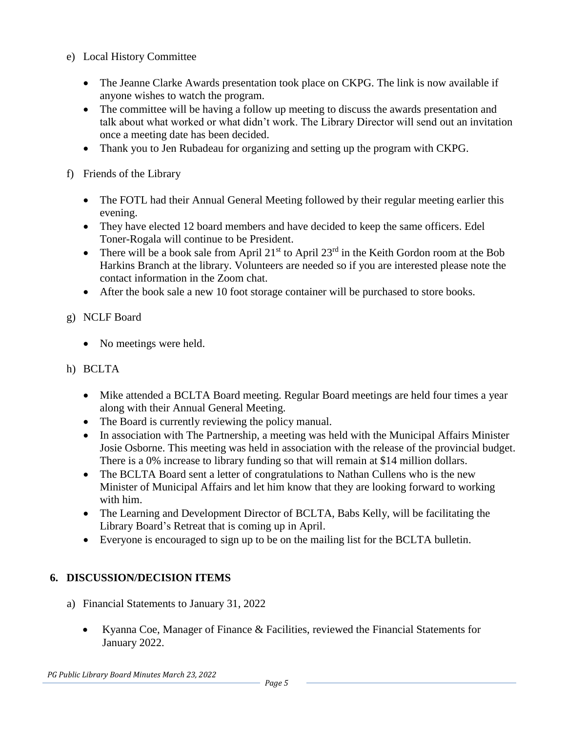- e) Local History Committee
	- The Jeanne Clarke Awards presentation took place on CKPG. The link is now available if anyone wishes to watch the program.
	- The committee will be having a follow up meeting to discuss the awards presentation and talk about what worked or what didn't work. The Library Director will send out an invitation once a meeting date has been decided.
	- Thank you to Jen Rubadeau for organizing and setting up the program with CKPG.
- f) Friends of the Library
	- The FOTL had their Annual General Meeting followed by their regular meeting earlier this evening.
	- They have elected 12 board members and have decided to keep the same officers. Edel Toner-Rogala will continue to be President.
	- There will be a book sale from April 21<sup>st</sup> to April 23<sup>rd</sup> in the Keith Gordon room at the Bob Harkins Branch at the library. Volunteers are needed so if you are interested please note the contact information in the Zoom chat.
	- After the book sale a new 10 foot storage container will be purchased to store books.
- g) NCLF Board
	- No meetings were held.
- h) BCLTA
	- Mike attended a BCLTA Board meeting. Regular Board meetings are held four times a year along with their Annual General Meeting.
	- The Board is currently reviewing the policy manual.
	- In association with The Partnership, a meeting was held with the Municipal Affairs Minister Josie Osborne. This meeting was held in association with the release of the provincial budget. There is a 0% increase to library funding so that will remain at \$14 million dollars.
	- The BCLTA Board sent a letter of congratulations to Nathan Cullens who is the new Minister of Municipal Affairs and let him know that they are looking forward to working with him.
	- The Learning and Development Director of BCLTA, Babs Kelly, will be facilitating the Library Board's Retreat that is coming up in April.
	- Everyone is encouraged to sign up to be on the mailing list for the BCLTA bulletin.

# **6. DISCUSSION/DECISION ITEMS**

- a) Financial Statements to January 31, 2022
	- Kyanna Coe, Manager of Finance & Facilities, reviewed the Financial Statements for January 2022.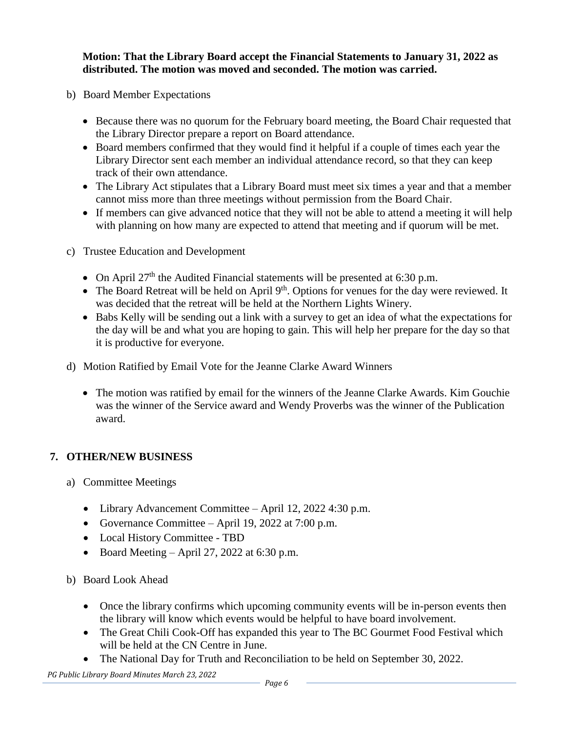**Motion: That the Library Board accept the Financial Statements to January 31, 2022 as distributed. The motion was moved and seconded. The motion was carried.** 

- b) Board Member Expectations
	- Because there was no quorum for the February board meeting, the Board Chair requested that the Library Director prepare a report on Board attendance.
	- Board members confirmed that they would find it helpful if a couple of times each year the Library Director sent each member an individual attendance record, so that they can keep track of their own attendance.
	- The Library Act stipulates that a Library Board must meet six times a year and that a member cannot miss more than three meetings without permission from the Board Chair.
	- If members can give advanced notice that they will not be able to attend a meeting it will help with planning on how many are expected to attend that meeting and if quorum will be met.
- c) Trustee Education and Development
	- On April  $27<sup>th</sup>$  the Audited Financial statements will be presented at 6:30 p.m.
	- The Board Retreat will be held on April  $9<sup>th</sup>$ . Options for venues for the day were reviewed. It was decided that the retreat will be held at the Northern Lights Winery.
	- Babs Kelly will be sending out a link with a survey to get an idea of what the expectations for the day will be and what you are hoping to gain. This will help her prepare for the day so that it is productive for everyone.
- d) Motion Ratified by Email Vote for the Jeanne Clarke Award Winners
	- The motion was ratified by email for the winners of the Jeanne Clarke Awards. Kim Gouchie was the winner of the Service award and Wendy Proverbs was the winner of the Publication award.

# **7. OTHER/NEW BUSINESS**

- a) Committee Meetings
	- Library Advancement Committee April 12, 2022 4:30 p.m.
	- Governance Committee April 19, 2022 at 7:00 p.m.
	- Local History Committee TBD
	- Board Meeting April 27, 2022 at 6:30 p.m.
- b) Board Look Ahead
	- Once the library confirms which upcoming community events will be in-person events then the library will know which events would be helpful to have board involvement.
	- The Great Chili Cook-Off has expanded this year to The BC Gourmet Food Festival which will be held at the CN Centre in June.
	- The National Day for Truth and Reconciliation to be held on September 30, 2022.